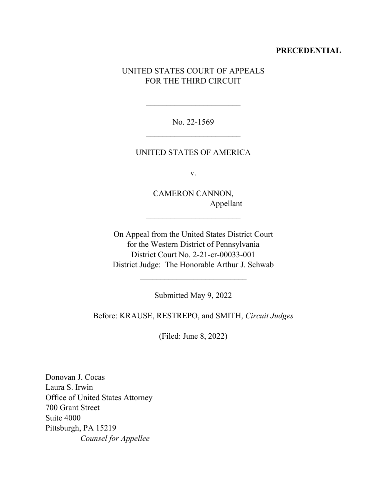### **PRECEDENTIAL**

# UNITED STATES COURT OF APPEALS FOR THE THIRD CIRCUIT

No. 22-1569  $\overline{\phantom{a}}$  , where  $\overline{\phantom{a}}$  , where  $\overline{\phantom{a}}$  , where  $\overline{\phantom{a}}$  ,  $\overline{\phantom{a}}$  ,  $\overline{\phantom{a}}$  ,  $\overline{\phantom{a}}$  ,  $\overline{\phantom{a}}$  ,  $\overline{\phantom{a}}$  ,  $\overline{\phantom{a}}$  ,  $\overline{\phantom{a}}$  ,  $\overline{\phantom{a}}$  ,  $\overline{\phantom{a}}$  ,  $\overline{\phantom{a}}$  ,  $\overline{\phantom$ 

 $\overline{\phantom{a}}$  , where  $\overline{\phantom{a}}$  , where  $\overline{\phantom{a}}$  , where  $\overline{\phantom{a}}$ 

### UNITED STATES OF AMERICA

v.

CAMERON CANNON, Appellant

 $\overline{\phantom{a}}$  , where  $\overline{\phantom{a}}$ 

On Appeal from the United States District Court for the Western District of Pennsylvania District Court No. 2-21-cr-00033-001 District Judge: The Honorable Arthur J. Schwab

Submitted May 9, 2022

 $\overline{\phantom{a}}$  , where  $\overline{\phantom{a}}$  , where  $\overline{\phantom{a}}$  , where  $\overline{\phantom{a}}$ 

Before: KRAUSE, RESTREPO, and SMITH, *Circuit Judges*

(Filed: June 8, 2022)

Donovan J. Cocas Laura S. Irwin Office of United States Attorney 700 Grant Street Suite 4000 Pittsburgh, PA 15219  *Counsel for Appellee*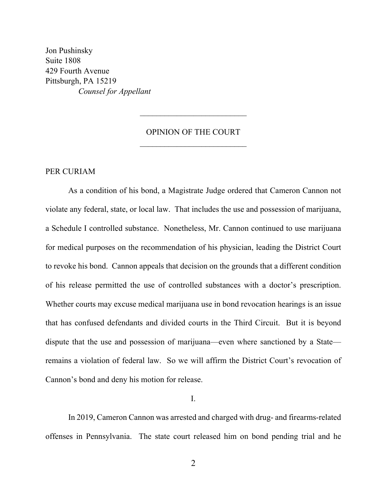Jon Pushinsky Suite 1808 429 Fourth Avenue Pittsburgh, PA 15219 *Counsel for Appellant*

# OPINION OF THE COURT  $\overline{\phantom{a}}$  , where  $\overline{\phantom{a}}$

 $\overline{\phantom{a}}$  , where  $\overline{\phantom{a}}$ 

## PER CURIAM

As a condition of his bond, a Magistrate Judge ordered that Cameron Cannon not violate any federal, state, or local law. That includes the use and possession of marijuana, a Schedule I controlled substance. Nonetheless, Mr. Cannon continued to use marijuana for medical purposes on the recommendation of his physician, leading the District Court to revoke his bond. Cannon appeals that decision on the grounds that a different condition of his release permitted the use of controlled substances with a doctor's prescription. Whether courts may excuse medical marijuana use in bond revocation hearings is an issue that has confused defendants and divided courts in the Third Circuit. But it is beyond dispute that the use and possession of marijuana—even where sanctioned by a State remains a violation of federal law. So we will affirm the District Court's revocation of Cannon's bond and deny his motion for release.

I.

In 2019, Cameron Cannon was arrested and charged with drug- and firearms-related offenses in Pennsylvania. The state court released him on bond pending trial and he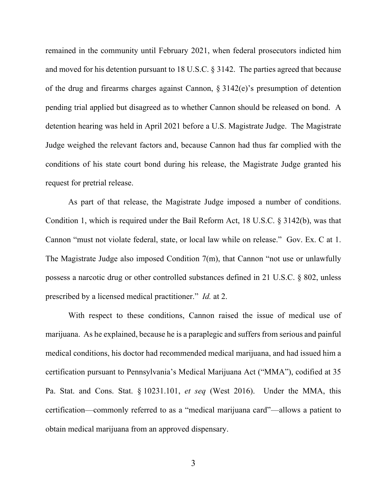remained in the community until February 2021, when federal prosecutors indicted him and moved for his detention pursuant to 18 U.S.C. § 3142. The parties agreed that because of the drug and firearms charges against Cannon, § 3142(e)'s presumption of detention pending trial applied but disagreed as to whether Cannon should be released on bond. A detention hearing was held in April 2021 before a U.S. Magistrate Judge. The Magistrate Judge weighed the relevant factors and, because Cannon had thus far complied with the conditions of his state court bond during his release, the Magistrate Judge granted his request for pretrial release.

As part of that release, the Magistrate Judge imposed a number of conditions. Condition 1, which is required under the Bail Reform Act, 18 U.S.C. § 3142(b), was that Cannon "must not violate federal, state, or local law while on release." Gov. Ex. C at 1. The Magistrate Judge also imposed Condition 7(m), that Cannon "not use or unlawfully possess a narcotic drug or other controlled substances defined in 21 U.S.C. § 802, unless prescribed by a licensed medical practitioner." *Id.* at 2.

With respect to these conditions, Cannon raised the issue of medical use of marijuana. As he explained, because he is a paraplegic and suffers from serious and painful medical conditions, his doctor had recommended medical marijuana, and had issued him a certification pursuant to Pennsylvania's Medical Marijuana Act ("MMA"), codified at 35 Pa. Stat. and Cons. Stat. § 10231.101, *et seq* (West 2016). Under the MMA, this certification—commonly referred to as a "medical marijuana card"—allows a patient to obtain medical marijuana from an approved dispensary.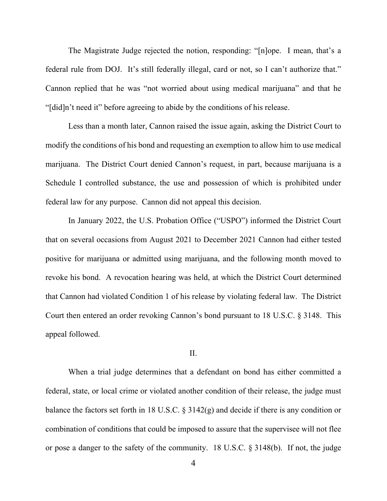The Magistrate Judge rejected the notion, responding: "[n]ope. I mean, that's a federal rule from DOJ. It's still federally illegal, card or not, so I can't authorize that." Cannon replied that he was "not worried about using medical marijuana" and that he "[did]n't need it" before agreeing to abide by the conditions of his release.

Less than a month later, Cannon raised the issue again, asking the District Court to modify the conditions of his bond and requesting an exemption to allow him to use medical marijuana. The District Court denied Cannon's request, in part, because marijuana is a Schedule I controlled substance, the use and possession of which is prohibited under federal law for any purpose. Cannon did not appeal this decision.

In January 2022, the U.S. Probation Office ("USPO") informed the District Court that on several occasions from August 2021 to December 2021 Cannon had either tested positive for marijuana or admitted using marijuana, and the following month moved to revoke his bond. A revocation hearing was held, at which the District Court determined that Cannon had violated Condition 1 of his release by violating federal law. The District Court then entered an order revoking Cannon's bond pursuant to 18 U.S.C. § 3148. This appeal followed.

### II.

When a trial judge determines that a defendant on bond has either committed a federal, state, or local crime or violated another condition of their release, the judge must balance the factors set forth in 18 U.S.C. § 3142(g) and decide if there is any condition or combination of conditions that could be imposed to assure that the supervisee will not flee or pose a danger to the safety of the community. 18 U.S.C. § 3148(b). If not, the judge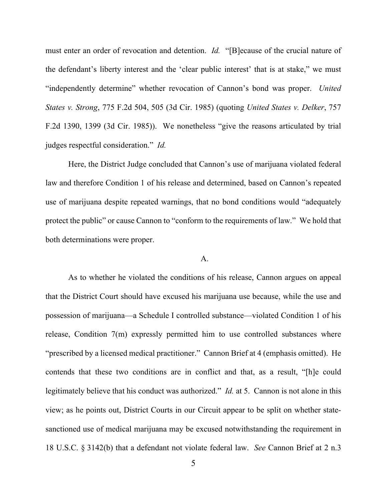must enter an order of revocation and detention. *Id.* "[B]ecause of the crucial nature of the defendant's liberty interest and the 'clear public interest' that is at stake," we must "independently determine" whether revocation of Cannon's bond was proper. *United States v. Strong*, 775 F.2d 504, 505 (3d Cir. 1985) (quoting *United States v. Delker*, 757 F.2d 1390, 1399 (3d Cir. 1985)). We nonetheless "give the reasons articulated by trial judges respectful consideration." *Id.* 

Here, the District Judge concluded that Cannon's use of marijuana violated federal law and therefore Condition 1 of his release and determined, based on Cannon's repeated use of marijuana despite repeated warnings, that no bond conditions would "adequately protect the public" or cause Cannon to "conform to the requirements of law." We hold that both determinations were proper.

### A.

As to whether he violated the conditions of his release, Cannon argues on appeal that the District Court should have excused his marijuana use because, while the use and possession of marijuana—a Schedule I controlled substance—violated Condition 1 of his release, Condition 7(m) expressly permitted him to use controlled substances where "prescribed by a licensed medical practitioner." Cannon Brief at 4 (emphasis omitted). He contends that these two conditions are in conflict and that, as a result, "[h]e could legitimately believe that his conduct was authorized." *Id.* at 5. Cannon is not alone in this view; as he points out, District Courts in our Circuit appear to be split on whether statesanctioned use of medical marijuana may be excused notwithstanding the requirement in 18 U.S.C. § 3142(b) that a defendant not violate federal law. *See* Cannon Brief at 2 n.3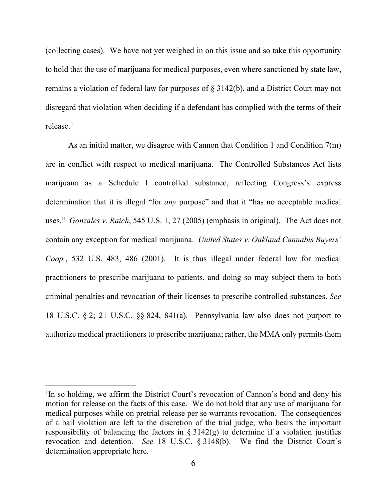(collecting cases). We have not yet weighed in on this issue and so take this opportunity to hold that the use of marijuana for medical purposes, even where sanctioned by state law, remains a violation of federal law for purposes of § 3142(b), and a District Court may not disregard that violation when deciding if a defendant has complied with the terms of their release. 1

As an initial matter, we disagree with Cannon that Condition 1 and Condition 7(m) are in conflict with respect to medical marijuana. The Controlled Substances Act lists marijuana as a Schedule I controlled substance, reflecting Congress's express determination that it is illegal "for *any* purpose" and that it "has no acceptable medical uses." *Gonzales v. Raich*, 545 U.S. 1, 27 (2005) (emphasis in original). The Act does not contain any exception for medical marijuana. *United States v. Oakland Cannabis Buyers' Coop.*, 532 U.S. 483, 486 (2001). It is thus illegal under federal law for medical practitioners to prescribe marijuana to patients, and doing so may subject them to both criminal penalties and revocation of their licenses to prescribe controlled substances. *See*  18 U.S.C. § 2; 21 U.S.C. §§ 824, 841(a). Pennsylvania law also does not purport to authorize medical practitioners to prescribe marijuana; rather, the MMA only permits them

<sup>&</sup>lt;sup>1</sup>In so holding, we affirm the District Court's revocation of Cannon's bond and deny his motion for release on the facts of this case. We do not hold that any use of marijuana for medical purposes while on pretrial release per se warrants revocation. The consequences of a bail violation are left to the discretion of the trial judge, who bears the important responsibility of balancing the factors in  $\S 3142(g)$  to determine if a violation justifies revocation and detention. *See* 18 U.S.C. § 3148(b). We find the District Court's determination appropriate here.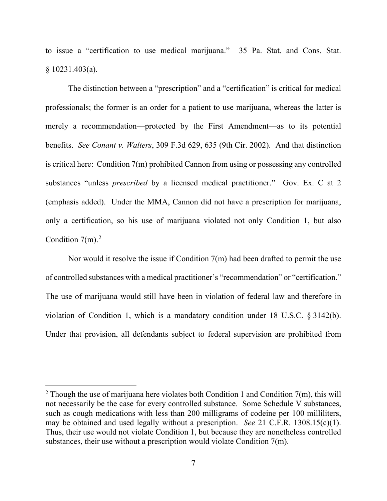to issue a "certification to use medical marijuana." 35 Pa. Stat. and Cons. Stat. § 10231.403(a).

The distinction between a "prescription" and a "certification" is critical for medical professionals; the former is an order for a patient to use marijuana, whereas the latter is merely a recommendation—protected by the First Amendment—as to its potential benefits. *See Conant v. Walters*, 309 F.3d 629, 635 (9th Cir. 2002). And that distinction is critical here: Condition 7(m) prohibited Cannon from using or possessing any controlled substances "unless *prescribed* by a licensed medical practitioner." Gov. Ex. C at 2 (emphasis added). Under the MMA, Cannon did not have a prescription for marijuana, only a certification, so his use of marijuana violated not only Condition 1, but also Condition  $7(m)$ .<sup>2</sup>

Nor would it resolve the issue if Condition 7(m) had been drafted to permit the use of controlled substances with a medical practitioner's "recommendation" or "certification." The use of marijuana would still have been in violation of federal law and therefore in violation of Condition 1, which is a mandatory condition under 18 U.S.C. § 3142(b). Under that provision, all defendants subject to federal supervision are prohibited from

<sup>&</sup>lt;sup>2</sup> Though the use of marijuana here violates both Condition 1 and Condition 7(m), this will not necessarily be the case for every controlled substance. Some Schedule V substances, such as cough medications with less than 200 milligrams of codeine per 100 milliliters, may be obtained and used legally without a prescription. *See* 21 C.F.R. 1308.15(c)(1). Thus, their use would not violate Condition 1, but because they are nonetheless controlled substances, their use without a prescription would violate Condition 7(m).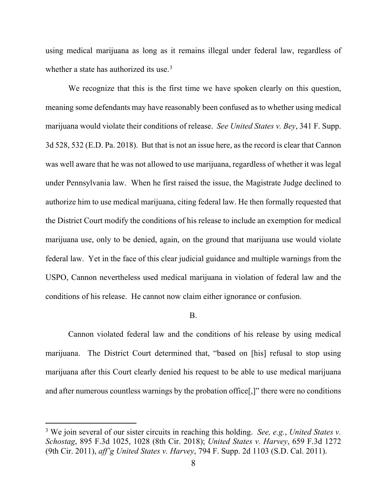using medical marijuana as long as it remains illegal under federal law, regardless of whether a state has authorized its use.<sup>3</sup>

We recognize that this is the first time we have spoken clearly on this question, meaning some defendants may have reasonably been confused as to whether using medical marijuana would violate their conditions of release. *See United States v. Bey*, 341 F. Supp. 3d 528, 532 (E.D. Pa. 2018). But that is not an issue here, as the record is clear that Cannon was well aware that he was not allowed to use marijuana, regardless of whether it was legal under Pennsylvania law. When he first raised the issue, the Magistrate Judge declined to authorize him to use medical marijuana, citing federal law. He then formally requested that the District Court modify the conditions of his release to include an exemption for medical marijuana use, only to be denied, again, on the ground that marijuana use would violate federal law. Yet in the face of this clear judicial guidance and multiple warnings from the USPO, Cannon nevertheless used medical marijuana in violation of federal law and the conditions of his release. He cannot now claim either ignorance or confusion.

#### B.

Cannon violated federal law and the conditions of his release by using medical marijuana. The District Court determined that, "based on [his] refusal to stop using marijuana after this Court clearly denied his request to be able to use medical marijuana and after numerous countless warnings by the probation office[,]" there were no conditions

<sup>3</sup> We join several of our sister circuits in reaching this holding. *See, e.g.*, *United States v. Schostag*, 895 F.3d 1025, 1028 (8th Cir. 2018); *United States v. Harvey*, 659 F.3d 1272 (9th Cir. 2011), *aff'g United States v. Harvey*, 794 F. Supp. 2d 1103 (S.D. Cal. 2011).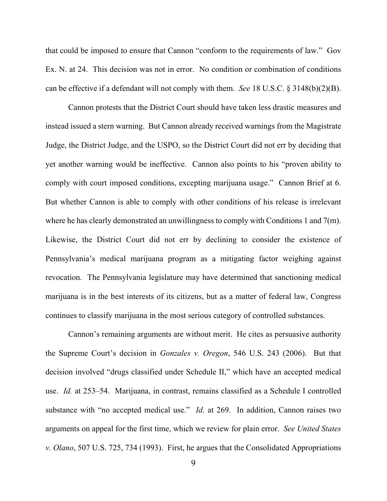that could be imposed to ensure that Cannon "conform to the requirements of law." Gov Ex. N. at 24.This decision was not in error. No condition or combination of conditions can be effective if a defendant will not comply with them. *See* 18 U.S.C. § 3148(b)(2)(B).

Cannon protests that the District Court should have taken less drastic measures and instead issued a stern warning. But Cannon already received warnings from the Magistrate Judge, the District Judge, and the USPO, so the District Court did not err by deciding that yet another warning would be ineffective. Cannon also points to his "proven ability to comply with court imposed conditions, excepting marijuana usage." Cannon Brief at 6. But whether Cannon is able to comply with other conditions of his release is irrelevant where he has clearly demonstrated an unwillingness to comply with Conditions 1 and 7(m). Likewise, the District Court did not err by declining to consider the existence of Pennsylvania's medical marijuana program as a mitigating factor weighing against revocation. The Pennsylvania legislature may have determined that sanctioning medical marijuana is in the best interests of its citizens, but as a matter of federal law, Congress continues to classify marijuana in the most serious category of controlled substances.

Cannon's remaining arguments are without merit. He cites as persuasive authority the Supreme Court's decision in *Gonzales v. Oregon*, 546 U.S. 243 (2006). But that decision involved "drugs classified under Schedule II," which have an accepted medical use. *Id.* at 253–54. Marijuana, in contrast, remains classified as a Schedule I controlled substance with "no accepted medical use." *Id.* at 269. In addition, Cannon raises two arguments on appeal for the first time, which we review for plain error. *See United States v. Olano*, 507 U.S. 725, 734 (1993). First, he argues that the Consolidated Appropriations